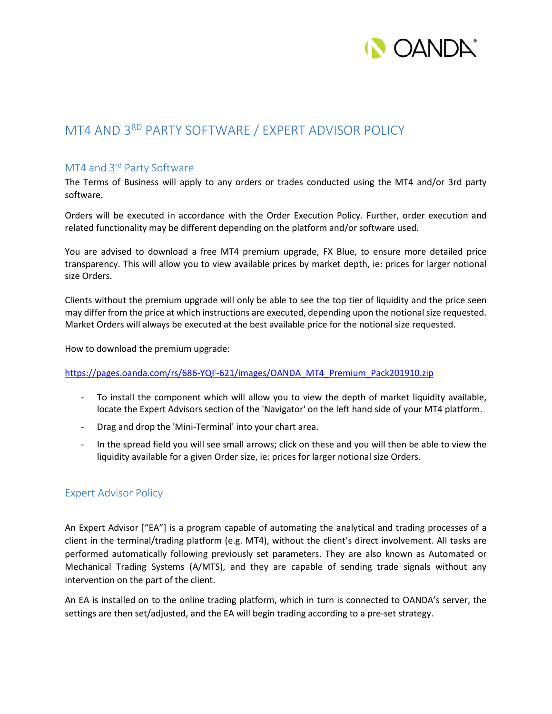

## MT4 AND 3RD PARTY SOFTWARE / EXPERT ADVISOR POLICY

## MT4 and 3<sup>rd</sup> Party Software

The Terms of Business will apply to any orders or trades conducted using the MT4 and/or 3rd party software.

Orders will be executed in accordance with the Order Execution Policy. Further, order execution and related functionality may be different depending on the platform and/or software used.

You are advised to download a free MT4 premium upgrade, FX Blue, to ensure more detailed price transparency. This will allow you to view available prices by market depth, ie: prices for larger notional size Orders.

Clients without the premium upgrade will only be able to see the top tier of liquidity and the price seen may differ from the price at which instructions are executed, depending upon the notional size requested. Market Orders will always be executed at the best available price for the notional size requested.

How to download the premium upgrade:

## [https://pages.oanda.com/rs/686-YQF-621/images/OANDA\\_MT4\\_Premium\\_Pack201910.zip](https://pages.oanda.com/rs/686-YQF-621/images/OANDA_MT4_Premium_Pack201910.zip)

- To install the component which will allow you to view the depth of market liquidity available, locate the Expert Advisors section of the 'Navigator' on the left hand side of your MT4 platform.
- Drag and drop the 'Mini-Terminal' into your chart area.
- In the spread field you will see small arrows; click on these and you will then be able to view the liquidity available for a given Order size, ie: prices for larger notional size Orders.

## Expert Advisor Policy

An Expert Advisor ["EA"] is a program capable of automating the analytical and trading processes of a client in the terminal/trading platform (e.g. MT4), without the client's direct involvement. All tasks are performed automatically following previously set parameters. They are also known as Automated or Mechanical Trading Systems (A/MTS), and they are capable of sending trade signals without any intervention on the part of the client.

An EA is installed on to the online trading platform, which in turn is connected to OANDA's server, the settings are then set/adjusted, and the EA will begin trading according to a pre-set strategy.